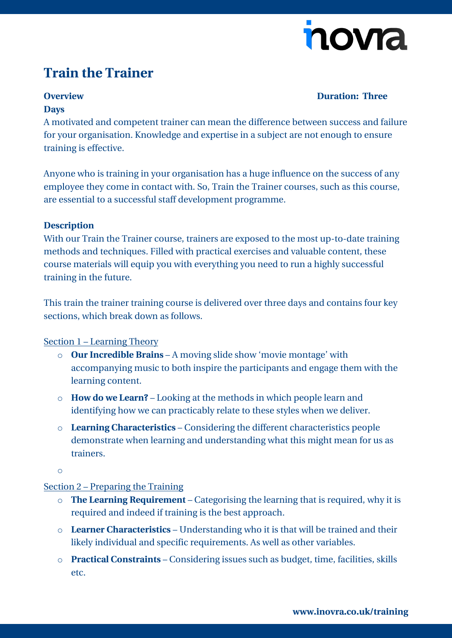

## **Train the Trainer**

#### **Overview Duration: Three**

#### **Days**

A motivated and competent trainer can mean the difference between success and failure for your organisation. Knowledge and expertise in a subject are not enough to ensure training is effective.

Anyone who is training in your organisation has a huge influence on the success of any employee they come in contact with. So, Train the Trainer courses, such as this course, are essential to a successful staff development programme.

#### **Description**

With our Train the Trainer course, trainers are exposed to the most up-to-date training methods and techniques. Filled with practical exercises and valuable content, these course materials will equip you with everything you need to run a highly successful training in the future.

This train the trainer training course is delivered over three days and contains four key sections, which break down as follows.

### Section 1 – Learning Theory

- o **Our Incredible Brains** A moving slide show 'movie montage' with accompanying music to both inspire the participants and engage them with the learning content.
- o **How do we Learn?** Looking at the methods in which people learn and identifying how we can practicably relate to these styles when we deliver.
- o **Learning Characteristics** Considering the different characteristics people demonstrate when learning and understanding what this might mean for us as trainers.

o

#### Section 2 – Preparing the Training

- o **The Learning Requirement** Categorising the learning that is required, why it is required and indeed if training is the best approach.
- o **Learner Characteristics** Understanding who it is that will be trained and their likely individual and specific requirements. As well as other variables.
- o **Practical Constraints** Considering issues such as budget, time, facilities, skills etc.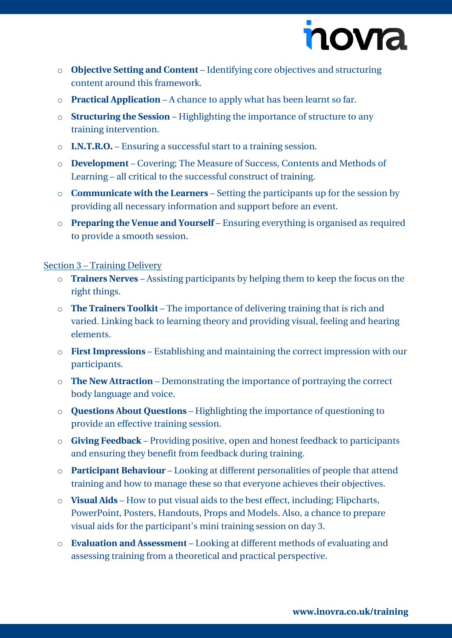

- o **Objective Setting and Content** Identifying core objectives and structuring content around this framework.
- o **Practical Application** A chance to apply what has been learnt so far.
- o **Structuring the Session** Highlighting the importance of structure to any training intervention.
- o **I.N.T.R.O.** Ensuring a successful start to a training session.
- o **Development** Covering; The Measure of Success, Contents and Methods of Learning – all critical to the successful construct of training.
- o **Communicate with the Learners** Setting the participants up for the session by providing all necessary information and support before an event.
- o **Preparing the Venue and Yourself** Ensuring everything is organised as required to provide a smooth session.

#### Section 3 – Training Delivery

- o **Trainers Nerves** Assisting participants by helping them to keep the focus on the right things.
- o **The Trainers Toolkit** The importance of delivering training that is rich and varied. Linking back to learning theory and providing visual, feeling and hearing elements.
- o **First Impressions** Establishing and maintaining the correct impression with our participants.
- o **The New Attraction** Demonstrating the importance of portraying the correct body language and voice.
- o **Questions About Questions** Highlighting the importance of questioning to provide an effective training session.
- o **Giving Feedback** Providing positive, open and honest feedback to participants and ensuring they benefit from feedback during training.
- o **Participant Behaviour** Looking at different personalities of people that attend training and how to manage these so that everyone achieves their objectives.
- o **Visual Aids** How to put visual aids to the best effect, including; Flipcharts, PowerPoint, Posters, Handouts, Props and Models. Also, a chance to prepare visual aids for the participant's mini training session on day 3.
- o **Evaluation and Assessment** Looking at different methods of evaluating and assessing training from a theoretical and practical perspective.

**[www.inovra.co.uk/training](http://www.inovra.co.uk/training)**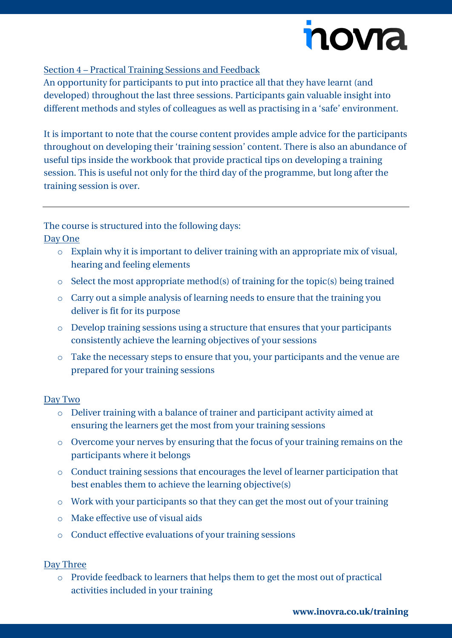# novra

#### Section 4 – Practical Training Sessions and Feedback

An opportunity for participants to put into practice all that they have learnt (and developed) throughout the last three sessions. Participants gain valuable insight into different methods and styles of colleagues as well as practising in a 'safe' environment.

It is important to note that the course content provides ample advice for the participants throughout on developing their 'training session' content. There is also an abundance of useful tips inside the workbook that provide practical tips on developing a training session. This is useful not only for the third day of the programme, but long after the training session is over.

The course is structured into the following days:

Day One

- o Explain why it is important to deliver training with an appropriate mix of visual, hearing and feeling elements
- o Select the most appropriate method(s) of training for the topic(s) being trained
- o Carry out a simple analysis of learning needs to ensure that the training you deliver is fit for its purpose
- o Develop training sessions using a structure that ensures that your participants consistently achieve the learning objectives of your sessions
- o Take the necessary steps to ensure that you, your participants and the venue are prepared for your training sessions

#### Day Two

- o Deliver training with a balance of trainer and participant activity aimed at ensuring the learners get the most from your training sessions
- o Overcome your nerves by ensuring that the focus of your training remains on the participants where it belongs
- o Conduct training sessions that encourages the level of learner participation that best enables them to achieve the learning objective(s)
- o Work with your participants so that they can get the most out of your training
- o Make effective use of visual aids
- o Conduct effective evaluations of your training sessions

### Day Three

o Provide feedback to learners that helps them to get the most out of practical activities included in your training